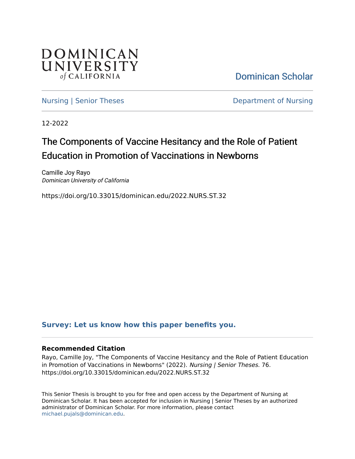

[Dominican Scholar](https://scholar.dominican.edu/) 

[Nursing | Senior Theses](https://scholar.dominican.edu/nursing-senior-theses) **Department of Nursing** 

12-2022

# The Components of Vaccine Hesitancy and the Role of Patient Education in Promotion of Vaccinations in Newborns

Camille Joy Rayo Dominican University of California

https://doi.org/10.33015/dominican.edu/2022.NURS.ST.32

### **[Survey: Let us know how this paper benefits you.](https://dominican.libwizard.com/dominican-scholar-feedback)**

### **Recommended Citation**

Rayo, Camille Joy, "The Components of Vaccine Hesitancy and the Role of Patient Education in Promotion of Vaccinations in Newborns" (2022). Nursing | Senior Theses. 76. https://doi.org/10.33015/dominican.edu/2022.NURS.ST.32

This Senior Thesis is brought to you for free and open access by the Department of Nursing at Dominican Scholar. It has been accepted for inclusion in Nursing | Senior Theses by an authorized administrator of Dominican Scholar. For more information, please contact [michael.pujals@dominican.edu.](mailto:michael.pujals@dominican.edu)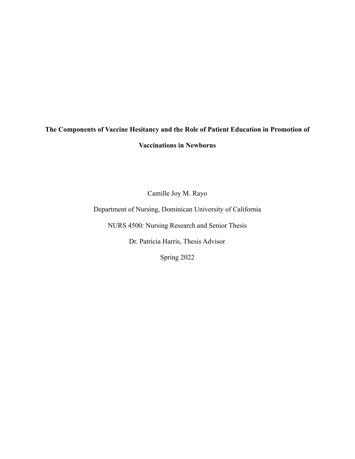# **The Components of Vaccine Hesitancy and the Role of Patient Education in Promotion of Vaccinations in Newborns**

Camille Joy M. Rayo

Department of Nursing, Dominican University of California

NURS 4500: Nursing Research and Senior Thesis

Dr. Patricia Harris, Thesis Advisor

Spring 2022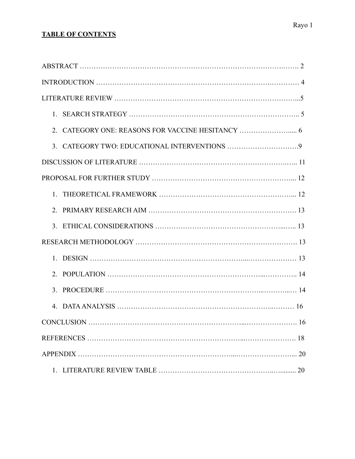### **TABLE OF CONTENTS**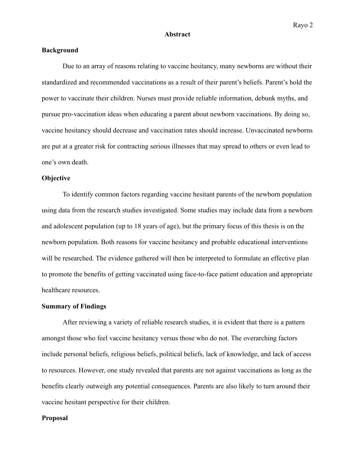#### **Abstract**

### **Background**

Due to an array of reasons relating to vaccine hesitancy, many newborns are without their standardized and recommended vaccinations as a result of their parent's beliefs. Parent's hold the power to vaccinate their children. Nurses must provide reliable information, debunk myths, and pursue pro-vaccination ideas when educating a parent about newborn vaccinations. By doing so, vaccine hesitancy should decrease and vaccination rates should increase. Unvaccinated newborns are put at a greater risk for contracting serious illnesses that may spread to others or even lead to one's own death.

### **Objective**

To identify common factors regarding vaccine hesitant parents of the newborn population using data from the research studies investigated. Some studies may include data from a newborn and adolescent population (up to 18 years of age), but the primary focus of this thesis is on the newborn population. Both reasons for vaccine hesitancy and probable educational interventions will be researched. The evidence gathered will then be interpreted to formulate an effective plan to promote the benefits of getting vaccinated using face-to-face patient education and appropriate healthcare resources.

### **Summary of Findings**

After reviewing a variety of reliable research studies, it is evident that there is a pattern amongst those who feel vaccine hesitancy versus those who do not. The overarching factors include personal beliefs, religious beliefs, political beliefs, lack of knowledge, and lack of access to resources. However, one study revealed that parents are not against vaccinations as long as the benefits clearly outweigh any potential consequences. Parents are also likely to turn around their vaccine hesitant perspective for their children.

### **Proposal**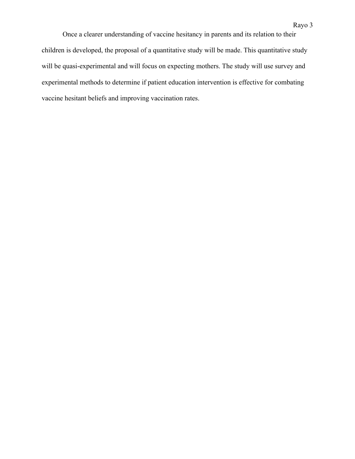Once a clearer understanding of vaccine hesitancy in parents and its relation to their children is developed, the proposal of a quantitative study will be made. This quantitative study will be quasi-experimental and will focus on expecting mothers. The study will use survey and experimental methods to determine if patient education intervention is effective for combating vaccine hesitant beliefs and improving vaccination rates.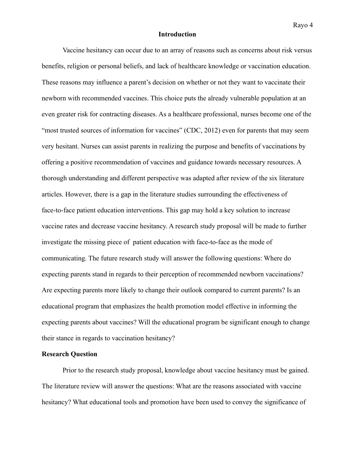#### **Introduction**

Vaccine hesitancy can occur due to an array of reasons such as concerns about risk versus benefits, religion or personal beliefs, and lack of healthcare knowledge or vaccination education. These reasons may influence a parent's decision on whether or not they want to vaccinate their newborn with recommended vaccines. This choice puts the already vulnerable population at an even greater risk for contracting diseases. As a healthcare professional, nurses become one of the "most trusted sources of information for vaccines" (CDC, 2012) even for parents that may seem very hesitant. Nurses can assist parents in realizing the purpose and benefits of vaccinations by offering a positive recommendation of vaccines and guidance towards necessary resources. A thorough understanding and different perspective was adapted after review of the six literature articles. However, there is a gap in the literature studies surrounding the effectiveness of face-to-face patient education interventions. This gap may hold a key solution to increase vaccine rates and decrease vaccine hesitancy. A research study proposal will be made to further investigate the missing piece of patient education with face-to-face as the mode of communicating. The future research study will answer the following questions: Where do expecting parents stand in regards to their perception of recommended newborn vaccinations? Are expecting parents more likely to change their outlook compared to current parents? Is an educational program that emphasizes the health promotion model effective in informing the expecting parents about vaccines? Will the educational program be significant enough to change their stance in regards to vaccination hesitancy?

### **Research Question**

Prior to the research study proposal, knowledge about vaccine hesitancy must be gained. The literature review will answer the questions: What are the reasons associated with vaccine hesitancy? What educational tools and promotion have been used to convey the significance of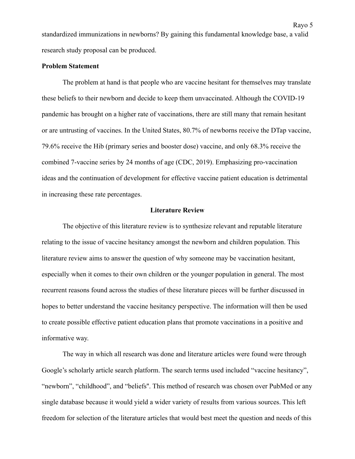standardized immunizations in newborns? By gaining this fundamental knowledge base, a valid research study proposal can be produced.

### **Problem Statement**

The problem at hand is that people who are vaccine hesitant for themselves may translate these beliefs to their newborn and decide to keep them unvaccinated. Although the COVID-19 pandemic has brought on a higher rate of vaccinations, there are still many that remain hesitant or are untrusting of vaccines. In the United States, 80.7% of newborns receive the DTap vaccine, 79.6% receive the Hib (primary series and booster dose) vaccine, and only 68.3% receive the combined 7-vaccine series by 24 months of age (CDC, 2019). Emphasizing pro-vaccination ideas and the continuation of development for effective vaccine patient education is detrimental in increasing these rate percentages.

### **Literature Review**

The objective of this literature review is to synthesize relevant and reputable literature relating to the issue of vaccine hesitancy amongst the newborn and children population. This literature review aims to answer the question of why someone may be vaccination hesitant, especially when it comes to their own children or the younger population in general. The most recurrent reasons found across the studies of these literature pieces will be further discussed in hopes to better understand the vaccine hesitancy perspective. The information will then be used to create possible effective patient education plans that promote vaccinations in a positive and informative way.

The way in which all research was done and literature articles were found were through Google's scholarly article search platform. The search terms used included "vaccine hesitancy", "newborn", "childhood", and "beliefs''. This method of research was chosen over PubMed or any single database because it would yield a wider variety of results from various sources. This left freedom for selection of the literature articles that would best meet the question and needs of this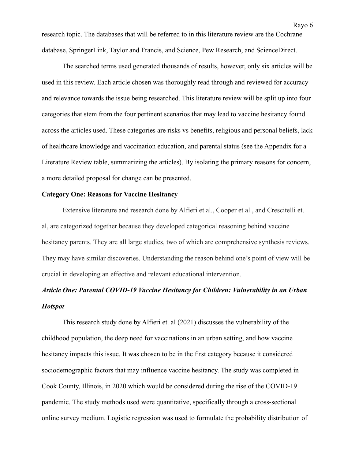research topic. The databases that will be referred to in this literature review are the Cochrane database, SpringerLink, Taylor and Francis, and Science, Pew Research, and ScienceDirect.

The searched terms used generated thousands of results, however, only six articles will be used in this review. Each article chosen was thoroughly read through and reviewed for accuracy and relevance towards the issue being researched. This literature review will be split up into four categories that stem from the four pertinent scenarios that may lead to vaccine hesitancy found across the articles used. These categories are risks vs benefits, religious and personal beliefs, lack of healthcare knowledge and vaccination education, and parental status (see the Appendix for a Literature Review table, summarizing the articles). By isolating the primary reasons for concern, a more detailed proposal for change can be presented.

### **Category One: Reasons for Vaccine Hesitancy**

Extensive literature and research done by Alfieri et al., Cooper et al., and Crescitelli et. al, are categorized together because they developed categorical reasoning behind vaccine hesitancy parents. They are all large studies, two of which are comprehensive synthesis reviews. They may have similar discoveries. Understanding the reason behind one's point of view will be crucial in developing an effective and relevant educational intervention.

## *Article One: Parental COVID-19 Vaccine Hesitancy for Children: Vulnerability in an Urban Hotspot*

This research study done by Alfieri et. al (2021) discusses the vulnerability of the childhood population, the deep need for vaccinations in an urban setting, and how vaccine hesitancy impacts this issue. It was chosen to be in the first category because it considered sociodemographic factors that may influence vaccine hesitancy. The study was completed in Cook County, Illinois, in 2020 which would be considered during the rise of the COVID-19 pandemic. The study methods used were quantitative, specifically through a cross-sectional online survey medium. Logistic regression was used to formulate the probability distribution of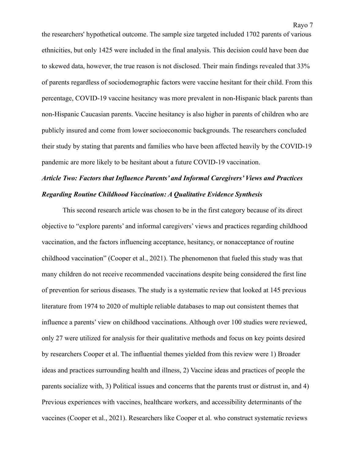the researchers' hypothetical outcome. The sample size targeted included 1702 parents of various ethnicities, but only 1425 were included in the final analysis. This decision could have been due to skewed data, however, the true reason is not disclosed. Their main findings revealed that 33% of parents regardless of sociodemographic factors were vaccine hesitant for their child. From this percentage, COVID-19 vaccine hesitancy was more prevalent in non-Hispanic black parents than non-Hispanic Caucasian parents. Vaccine hesitancy is also higher in parents of children who are publicly insured and come from lower socioeconomic backgrounds. The researchers concluded their study by stating that parents and families who have been affected heavily by the COVID-19 pandemic are more likely to be hesitant about a future COVID-19 vaccination.

### *Article Two: Factors that Influence Parents' and Informal Caregivers' Views and Practices Regarding Routine Childhood Vaccination: A Qualitative Evidence Synthesis*

This second research article was chosen to be in the first category because of its direct objective to "explore parents' and informal caregivers' views and practices regarding childhood vaccination, and the factors influencing acceptance, hesitancy, or nonacceptance of routine childhood vaccination" (Cooper et al., 2021). The phenomenon that fueled this study was that many children do not receive recommended vaccinations despite being considered the first line of prevention for serious diseases. The study is a systematic review that looked at 145 previous literature from 1974 to 2020 of multiple reliable databases to map out consistent themes that influence a parents' view on childhood vaccinations. Although over 100 studies were reviewed, only 27 were utilized for analysis for their qualitative methods and focus on key points desired by researchers Cooper et al. The influential themes yielded from this review were 1) Broader ideas and practices surrounding health and illness, 2) Vaccine ideas and practices of people the parents socialize with, 3) Political issues and concerns that the parents trust or distrust in, and 4) Previous experiences with vaccines, healthcare workers, and accessibility determinants of the vaccines (Cooper et al., 2021). Researchers like Cooper et al. who construct systematic reviews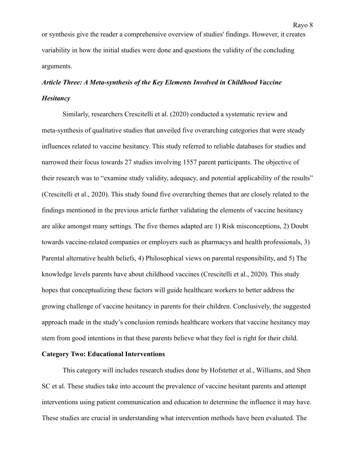or synthesis give the reader a comprehensive overview of studies' findings. However, it creates variability in how the initial studies were done and questions the validity of the concluding arguments.

## *Article Three: A Meta-synthesis of the Key Elements Involved in Childhood Vaccine Hesitancy*

Similarly, researchers Crescitelli et al. (2020) conducted a systematic review and meta-synthesis of qualitative studies that unveiled five overarching categories that were steady influences related to vaccine hesitancy. This study referred to reliable databases for studies and narrowed their focus towards 27 studies involving 1557 parent participants. The objective of their research was to "examine study validity, adequacy, and potential applicability of the results" (Crescitelli et al., 2020). This study found five overarching themes that are closely related to the findings mentioned in the previous article further validating the elements of vaccine hesitancy are alike amongst many settings. The five themes adapted are 1) Risk misconceptions, 2) Doubt towards vaccine-related companies or employers such as pharmacys and health professionals, 3) Parental alternative health beliefs, 4) Philosophical views on parental responsibility, and 5) The knowledge levels parents have about childhood vaccines (Crescitelli et al., 2020). This study hopes that conceptualizing these factors will guide healthcare workers to better address the growing challenge of vaccine hesitancy in parents for their children. Conclusively, the suggested approach made in the study's conclusion reminds healthcare workers that vaccine hesitancy may stem from good intentions in that these parents believe what they feel is right for their child.

### **Category Two: Educational Interventions**

This category will includes research studies done by Hofstetter et al., Williams, and Shen SC et al. These studies take into account the prevalence of vaccine hesitant parents and attempt interventions using patient communication and education to determine the influence it may have. These studies are crucial in understanding what intervention methods have been evaluated. The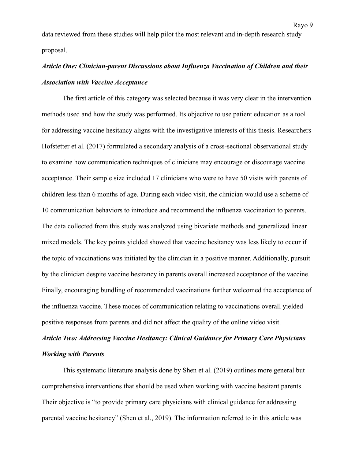data reviewed from these studies will help pilot the most relevant and in-depth research study proposal.

### *Article One: Clinician-parent Discussions about Influenza Vaccination of Children and their Association with Vaccine Acceptance*

The first article of this category was selected because it was very clear in the intervention methods used and how the study was performed. Its objective to use patient education as a tool for addressing vaccine hesitancy aligns with the investigative interests of this thesis. Researchers Hofstetter et al. (2017) formulated a secondary analysis of a cross-sectional observational study to examine how communication techniques of clinicians may encourage or discourage vaccine acceptance. Their sample size included 17 clinicians who were to have 50 visits with parents of children less than 6 months of age. During each video visit, the clinician would use a scheme of 10 communication behaviors to introduce and recommend the influenza vaccination to parents. The data collected from this study was analyzed using bivariate methods and generalized linear mixed models. The key points yielded showed that vaccine hesitancy was less likely to occur if the topic of vaccinations was initiated by the clinician in a positive manner. Additionally, pursuit by the clinician despite vaccine hesitancy in parents overall increased acceptance of the vaccine. Finally, encouraging bundling of recommended vaccinations further welcomed the acceptance of the influenza vaccine. These modes of communication relating to vaccinations overall yielded positive responses from parents and did not affect the quality of the online video visit.

### *Article Two: Addressing Vaccine Hesitancy: Clinical Guidance for Primary Care Physicians Working with Parents*

This systematic literature analysis done by Shen et al. (2019) outlines more general but comprehensive interventions that should be used when working with vaccine hesitant parents. Their objective is "to provide primary care physicians with clinical guidance for addressing parental vaccine hesitancy" (Shen et al., 2019). The information referred to in this article was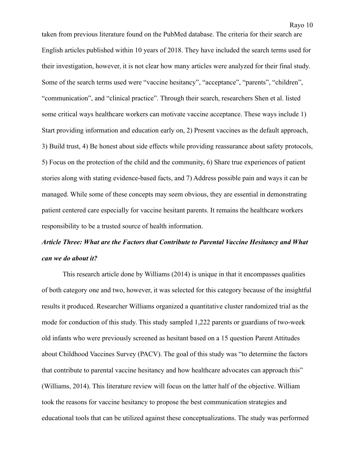taken from previous literature found on the PubMed database. The criteria for their search are English articles published within 10 years of 2018. They have included the search terms used for their investigation, however, it is not clear how many articles were analyzed for their final study. Some of the search terms used were "vaccine hesitancy", "acceptance", "parents", "children", "communication", and "clinical practice". Through their search, researchers Shen et al. listed some critical ways healthcare workers can motivate vaccine acceptance. These ways include 1) Start providing information and education early on, 2) Present vaccines as the default approach, 3) Build trust, 4) Be honest about side effects while providing reassurance about safety protocols, 5) Focus on the protection of the child and the community, 6) Share true experiences of patient stories along with stating evidence-based facts, and 7) Address possible pain and ways it can be managed. While some of these concepts may seem obvious, they are essential in demonstrating patient centered care especially for vaccine hesitant parents. It remains the healthcare workers responsibility to be a trusted source of health information.

### *Article Three: What are the Factors that Contribute to Parental Vaccine Hesitancy and What can we do about it?*

This research article done by Williams (2014) is unique in that it encompasses qualities of both category one and two, however, it was selected for this category because of the insightful results it produced. Researcher Williams organized a quantitative cluster randomized trial as the mode for conduction of this study. This study sampled 1,222 parents or guardians of two-week old infants who were previously screened as hesitant based on a 15 question Parent Attitudes about Childhood Vaccines Survey (PACV). The goal of this study was "to determine the factors that contribute to parental vaccine hesitancy and how healthcare advocates can approach this" (Williams, 2014). This literature review will focus on the latter half of the objective. William took the reasons for vaccine hesitancy to propose the best communication strategies and educational tools that can be utilized against these conceptualizations. The study was performed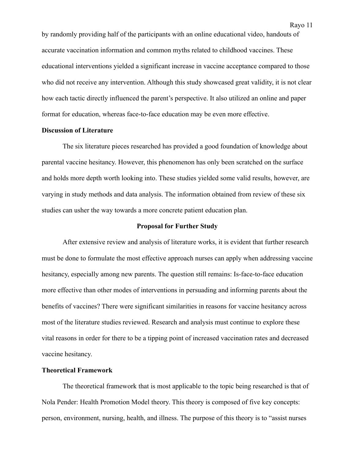by randomly providing half of the participants with an online educational video, handouts of accurate vaccination information and common myths related to childhood vaccines. These educational interventions yielded a significant increase in vaccine acceptance compared to those who did not receive any intervention. Although this study showcased great validity, it is not clear how each tactic directly influenced the parent's perspective. It also utilized an online and paper format for education, whereas face-to-face education may be even more effective.

### **Discussion of Literature**

The six literature pieces researched has provided a good foundation of knowledge about parental vaccine hesitancy. However, this phenomenon has only been scratched on the surface and holds more depth worth looking into. These studies yielded some valid results, however, are varying in study methods and data analysis. The information obtained from review of these six studies can usher the way towards a more concrete patient education plan.

### **Proposal for Further Study**

After extensive review and analysis of literature works, it is evident that further research must be done to formulate the most effective approach nurses can apply when addressing vaccine hesitancy, especially among new parents. The question still remains: Is-face-to-face education more effective than other modes of interventions in persuading and informing parents about the benefits of vaccines? There were significant similarities in reasons for vaccine hesitancy across most of the literature studies reviewed. Research and analysis must continue to explore these vital reasons in order for there to be a tipping point of increased vaccination rates and decreased vaccine hesitancy.

### **Theoretical Framework**

The theoretical framework that is most applicable to the topic being researched is that of Nola Pender: Health Promotion Model theory. This theory is composed of five key concepts: person, environment, nursing, health, and illness. The purpose of this theory is to "assist nurses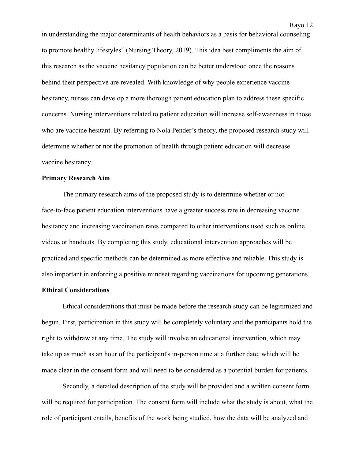in understanding the major determinants of health behaviors as a basis for behavioral counseling to promote healthy lifestyles" (Nursing Theory, 2019). This idea best compliments the aim of this research as the vaccine hesitancy population can be better understood once the reasons behind their perspective are revealed. With knowledge of why people experience vaccine hesitancy, nurses can develop a more thorough patient education plan to address these specific concerns. Nursing interventions related to patient education will increase self-awareness in those who are vaccine hesitant. By referring to Nola Pender's theory, the proposed research study will determine whether or not the promotion of health through patient education will decrease vaccine hesitancy.

### **Primary Research Aim**

The primary research aims of the proposed study is to determine whether or not face-to-face patient education interventions have a greater success rate in decreasing vaccine hesitancy and increasing vaccination rates compared to other interventions used such as online videos or handouts. By completing this study, educational intervention approaches will be practiced and specific methods can be determined as more effective and reliable. This study is also important in enforcing a positive mindset regarding vaccinations for upcoming generations.

### **Ethical Considerations**

Ethical considerations that must be made before the research study can be legitimized and begun. First, participation in this study will be completely voluntary and the participants hold the right to withdraw at any time. The study will involve an educational intervention, which may take up as much as an hour of the participant's in-person time at a further date, which will be made clear in the consent form and will need to be considered as a potential burden for patients.

Secondly, a detailed description of the study will be provided and a written consent form will be required for participation. The consent form will include what the study is about, what the role of participant entails, benefits of the work being studied, how the data will be analyzed and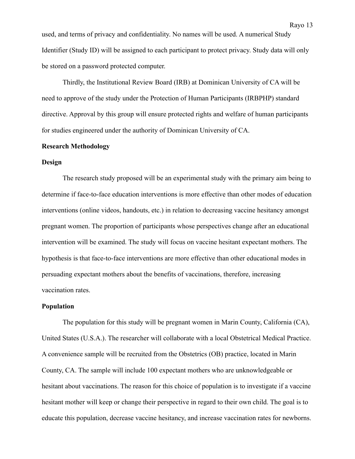used, and terms of privacy and confidentiality. No names will be used. A numerical Study Identifier (Study ID) will be assigned to each participant to protect privacy. Study data will only be stored on a password protected computer.

Thirdly, the Institutional Review Board (IRB) at Dominican University of CA will be need to approve of the study under the Protection of Human Participants (IRBPHP) standard directive. Approval by this group will ensure protected rights and welfare of human participants for studies engineered under the authority of Dominican University of CA.

### **Research Methodology**

### **Design**

The research study proposed will be an experimental study with the primary aim being to determine if face-to-face education interventions is more effective than other modes of education interventions (online videos, handouts, etc.) in relation to decreasing vaccine hesitancy amongst pregnant women. The proportion of participants whose perspectives change after an educational intervention will be examined. The study will focus on vaccine hesitant expectant mothers. The hypothesis is that face-to-face interventions are more effective than other educational modes in persuading expectant mothers about the benefits of vaccinations, therefore, increasing vaccination rates.

### **Population**

The population for this study will be pregnant women in Marin County, California (CA), United States (U.S.A.). The researcher will collaborate with a local Obstetrical Medical Practice. A convenience sample will be recruited from the Obstetrics (OB) practice, located in Marin County, CA. The sample will include 100 expectant mothers who are unknowledgeable or hesitant about vaccinations. The reason for this choice of population is to investigate if a vaccine hesitant mother will keep or change their perspective in regard to their own child. The goal is to educate this population, decrease vaccine hesitancy, and increase vaccination rates for newborns.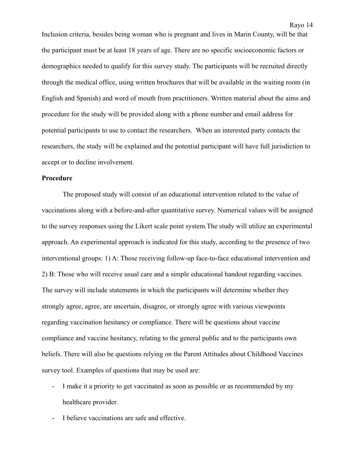Inclusion criteria, besides being woman who is pregnant and lives in Marin County, will be that the participant must be at least 18 years of age. There are no specific socioeconomic factors or demographics needed to qualify for this survey study. The participants will be recruited directly through the medical office, using written brochures that will be available in the waiting room (in English and Spanish) and word of mouth from practitioners. Written material about the aims and procedure for the study will be provided along with a phone number and email address for potential participants to use to contact the researchers. When an interested party contacts the researchers, the study will be explained and the potential participant will have full jurisdiction to accept or to decline involvement.

### **Procedure**

The proposed study will consist of an educational intervention related to the value of vaccinations along with a before-and-after quantitative survey. Numerical values will be assigned to the survey responses using the Likert scale point system.The study will utilize an experimental approach. An experimental approach is indicated for this study, according to the presence of two interventional groups: 1) A: Those receiving follow-up face-to-face educational intervention and 2) B: Those who will receive usual care and a simple educational handout regarding vaccines. The survey will include statements in which the participants will determine whether they strongly agree, agree, are uncertain, disagree, or strongly agree with various viewpoints regarding vaccination hesitancy or compliance. There will be questions about vaccine compliance and vaccine hesitancy, relating to the general public and to the participants own beliefs. There will also be questions relying on the Parent Attitudes about Childhood Vaccines survey tool. Examples of questions that may be used are:

- I make it a priority to get vaccinated as soon as possible or as recommended by my healthcare provider.
- I believe vaccinations are safe and effective.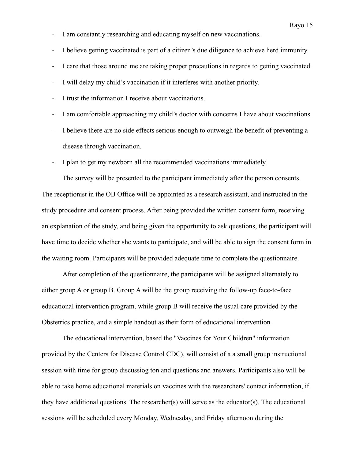- I am constantly researching and educating myself on new vaccinations.
- I believe getting vaccinated is part of a citizen's due diligence to achieve herd immunity.
- I care that those around me are taking proper precautions in regards to getting vaccinated.
- I will delay my child's vaccination if it interferes with another priority.
- I trust the information I receive about vaccinations.
- I am comfortable approaching my child's doctor with concerns I have about vaccinations.
- I believe there are no side effects serious enough to outweigh the benefit of preventing a disease through vaccination.
- I plan to get my newborn all the recommended vaccinations immediately.

The survey will be presented to the participant immediately after the person consents. The receptionist in the OB Office will be appointed as a research assistant, and instructed in the study procedure and consent process. After being provided the written consent form, receiving an explanation of the study, and being given the opportunity to ask questions, the participant will have time to decide whether she wants to participate, and will be able to sign the consent form in the waiting room. Participants will be provided adequate time to complete the questionnaire.

After completion of the questionnaire, the participants will be assigned alternately to either group A or group B. Group A will be the group receiving the follow-up face-to-face educational intervention program, while group B will receive the usual care provided by the Obstetrics practice, and a simple handout as their form of educational intervention .

The educational intervention, based the "Vaccines for Your Children" information provided by the Centers for Disease Control CDC), will consist of a a small group instructional session with time for group discussiog ton and questions and answers. Participants also will be able to take home educational materials on vaccines with the researchers' contact information, if they have additional questions. The researcher(s) will serve as the educator(s). The educational sessions will be scheduled every Monday, Wednesday, and Friday afternoon during the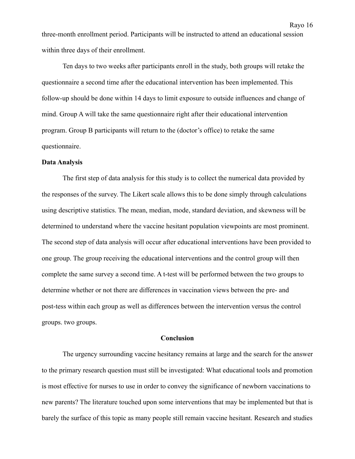three-month enrollment period. Participants will be instructed to attend an educational session within three days of their enrollment.

Ten days to two weeks after participants enroll in the study, both groups will retake the questionnaire a second time after the educational intervention has been implemented. This follow-up should be done within 14 days to limit exposure to outside influences and change of mind. Group A will take the same questionnaire right after their educational intervention program. Group B participants will return to the (doctor's office) to retake the same questionnaire.

#### **Data Analysis**

The first step of data analysis for this study is to collect the numerical data provided by the responses of the survey. The Likert scale allows this to be done simply through calculations using descriptive statistics. The mean, median, mode, standard deviation, and skewness will be determined to understand where the vaccine hesitant population viewpoints are most prominent. The second step of data analysis will occur after educational interventions have been provided to one group. The group receiving the educational interventions and the control group will then complete the same survey a second time. A t-test will be performed between the two groups to determine whether or not there are differences in vaccination views between the pre- and post-tess within each group as well as differences between the intervention versus the control groups. two groups.

### **Conclusion**

The urgency surrounding vaccine hesitancy remains at large and the search for the answer to the primary research question must still be investigated: What educational tools and promotion is most effective for nurses to use in order to convey the significance of newborn vaccinations to new parents? The literature touched upon some interventions that may be implemented but that is barely the surface of this topic as many people still remain vaccine hesitant. Research and studies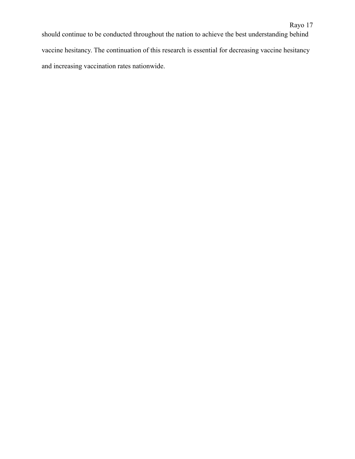should continue to be conducted throughout the nation to achieve the best understanding behind vaccine hesitancy. The continuation of this research is essential for decreasing vaccine hesitancy and increasing vaccination rates nationwide.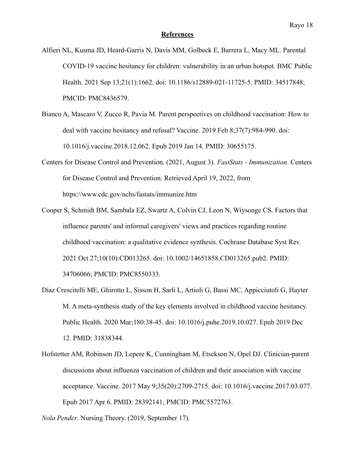#### **References**

Alfieri NL, Kusma JD, Heard-Garris N, Davis MM, Golbeck E, Barrera L, Macy ML. Parental COVID-19 vaccine hesitancy for children: vulnerability in an urban hotspot. BMC Public Health. 2021 Sep 13;21(1):1662. doi: 10.1186/s12889-021-11725-5. PMID: 34517848; PMCID: PMC8436579.

- Bianco A, Mascaro V, Zucco R, Pavia M. Parent perspectives on childhood vaccination: How to deal with vaccine hesitancy and refusal? Vaccine. 2019 Feb 8;37(7):984-990. doi: 10.1016/j.vaccine.2018.12.062. Epub 2019 Jan 14. PMID: 30655175.
- Centers for Disease Control and Prevention. (2021, August 3). *FastStats Immunization*. Centers for Disease Control and Prevention. Retrieved April 19, 2022, from https://www.cdc.gov/nchs/fastats/immunize.htm
- Cooper S, Schmidt BM, Sambala EZ, Swartz A, Colvin CJ, Leon N, Wiysonge CS. Factors that influence parents' and informal caregivers' views and practices regarding routine childhood vaccination: a qualitative evidence synthesis. Cochrane Database Syst Rev. 2021 Oct 27;10(10):CD013265. doi: 10.1002/14651858.CD013265.pub2. PMID: 34706066; PMCID: PMC8550333.
- Díaz Crescitelli ME, Ghirotto L, Sisson H, Sarli L, Artioli G, Bassi MC, Appicciutoli G, Hayter M. A meta-synthesis study of the key elements involved in childhood vaccine hesitancy. Public Health. 2020 Mar;180:38-45. doi: 10.1016/j.puhe.2019.10.027. Epub 2019 Dec 12. PMID: 31838344.
- Hofstetter AM, Robinson JD, Lepere K, Cunningham M, Etsekson N, Opel DJ. Clinician-parent discussions about influenza vaccination of children and their association with vaccine acceptance. Vaccine. 2017 May 9;35(20):2709-2715. doi: 10.1016/j.vaccine.2017.03.077. Epub 2017 Apr 6. PMID: 28392141; PMCID: PMC5572763.

*Nola Pender*. Nursing Theory. (2019, September 17).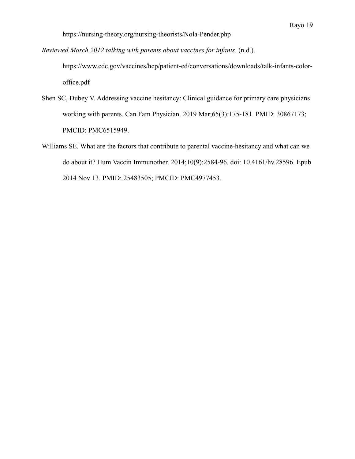https://nursing-theory.org/nursing-theorists/Nola-Pender.php

*Reviewed March 2012 talking with parents about vaccines for infants*. (n.d.).

https://www.cdc.gov/vaccines/hcp/patient-ed/conversations/downloads/talk-infants-coloroffice.pdf

- Shen SC, Dubey V. Addressing vaccine hesitancy: Clinical guidance for primary care physicians working with parents. Can Fam Physician. 2019 Mar;65(3):175-181. PMID: 30867173; PMCID: PMC6515949.
- Williams SE. What are the factors that contribute to parental vaccine-hesitancy and what can we do about it? Hum Vaccin Immunother. 2014;10(9):2584-96. doi: 10.4161/hv.28596. Epub 2014 Nov 13. PMID: 25483505; PMCID: PMC4977453.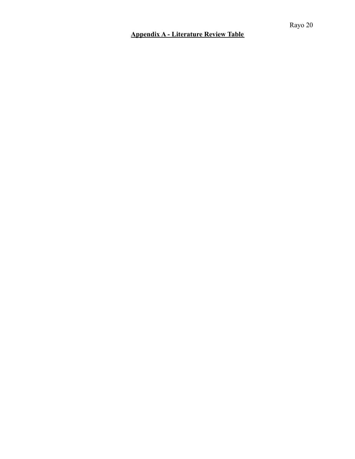### **Appendix A - Literature Review Table**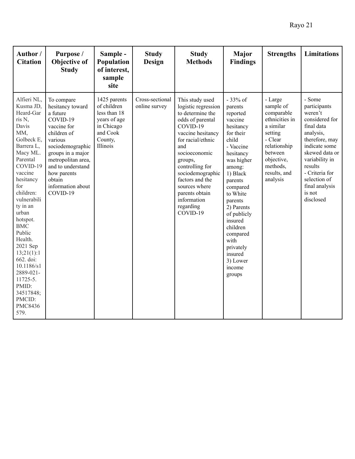| Author /<br><b>Citation</b>                                                                                                                                                                                                                                                                                                                                                                     | Purpose /<br>Objective of<br><b>Study</b>                                                                                                                                                                                                     | Sample -<br>Population<br>of interest,<br>sample<br>site                                                     | <b>Study</b><br><b>Design</b>    | <b>Study</b><br><b>Methods</b>                                                                                                                                                                                                                                                                               | Major<br><b>Findings</b>                                                                                                                                                                                                                                                                                                  | <b>Strengths</b>                                                                                                                                                         | <b>Limitations</b>                                                                                                                                                                                                                          |
|-------------------------------------------------------------------------------------------------------------------------------------------------------------------------------------------------------------------------------------------------------------------------------------------------------------------------------------------------------------------------------------------------|-----------------------------------------------------------------------------------------------------------------------------------------------------------------------------------------------------------------------------------------------|--------------------------------------------------------------------------------------------------------------|----------------------------------|--------------------------------------------------------------------------------------------------------------------------------------------------------------------------------------------------------------------------------------------------------------------------------------------------------------|---------------------------------------------------------------------------------------------------------------------------------------------------------------------------------------------------------------------------------------------------------------------------------------------------------------------------|--------------------------------------------------------------------------------------------------------------------------------------------------------------------------|---------------------------------------------------------------------------------------------------------------------------------------------------------------------------------------------------------------------------------------------|
| Alfieri NL,<br>Kusma JD,<br>Heard-Gar<br>ris N,<br>Davis<br>MM,<br>Golbeck E,<br>Barrera L,<br>Macy ML.<br>Parental<br>COVID-19<br>vaccine<br>hesitancy<br>for<br>children:<br>vulnerabili<br>ty in an<br>urban<br>hotspot.<br><b>BMC</b><br>Public<br>Health.<br>2021 Sep<br>13;21(1):1<br>662. doi:<br>10.1186/s1<br>2889-021-<br>11725-5.<br>PMID:<br>34517848;<br>PMCID:<br>PMC8436<br>579. | To compare<br>hesitancy toward<br>a future<br>COVID-19<br>vaccine for<br>children of<br>various<br>sociodemographic<br>groups in a major<br>metropolitan area,<br>and to understand<br>how parents<br>obtain<br>information about<br>COVID-19 | 1425 parents<br>of children<br>less than 18<br>years of age<br>in Chicago<br>and Cook<br>County,<br>Illinois | Cross-sectional<br>online survey | This study used<br>logistic regression<br>to determine the<br>odds of parental<br>COVID-19<br>vaccine hesitancy<br>for racial/ethnic<br>and<br>socioeconomic<br>groups,<br>controlling for<br>sociodemographic<br>factors and the<br>sources where<br>parents obtain<br>information<br>regarding<br>COVID-19 | - 33% of<br>parents<br>reported<br>vaccine<br>hesitancy<br>for their<br>child<br>- Vaccine<br>hesitancy<br>was higher<br>among:<br>1) Black<br>parents<br>compared<br>to White<br>parents<br>2) Parents<br>of publicly<br>insured<br>children<br>compared<br>with<br>privately<br>insured<br>3) Lower<br>income<br>groups | - Large<br>sample of<br>comparable<br>ethnicities in<br>a similar<br>setting<br>- Clear<br>relationship<br>between<br>objective,<br>methods,<br>results, and<br>analysis | - Some<br>participants<br>weren't<br>considered for<br>final data<br>analysis,<br>therefore, may<br>indicate some<br>skewed data or<br>variability in<br>results<br>- Criteria for<br>selection of<br>final analysis<br>is not<br>disclosed |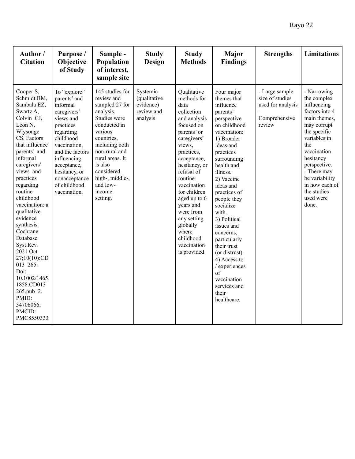| Author/<br><b>Citation</b>                                                                                                                                                                                                                                                                                                                                                                                                                                                     | Purpose /<br>Objective<br>of Study                                                                                                                                                                                                             | Sample -<br>Population<br>of interest,<br>sample site                                                                                                                                                                                                      | <b>Study</b><br>Design                                          | <b>Study</b><br><b>Methods</b>                                                                                                                                                                                                                                                                                                                        | <b>Major</b><br><b>Findings</b>                                                                                                                                                                                                                                                                                                                                                                                                                              | <b>Strengths</b>                                                                  | <b>Limitations</b>                                                                                                                                                                                                                                                    |
|--------------------------------------------------------------------------------------------------------------------------------------------------------------------------------------------------------------------------------------------------------------------------------------------------------------------------------------------------------------------------------------------------------------------------------------------------------------------------------|------------------------------------------------------------------------------------------------------------------------------------------------------------------------------------------------------------------------------------------------|------------------------------------------------------------------------------------------------------------------------------------------------------------------------------------------------------------------------------------------------------------|-----------------------------------------------------------------|-------------------------------------------------------------------------------------------------------------------------------------------------------------------------------------------------------------------------------------------------------------------------------------------------------------------------------------------------------|--------------------------------------------------------------------------------------------------------------------------------------------------------------------------------------------------------------------------------------------------------------------------------------------------------------------------------------------------------------------------------------------------------------------------------------------------------------|-----------------------------------------------------------------------------------|-----------------------------------------------------------------------------------------------------------------------------------------------------------------------------------------------------------------------------------------------------------------------|
| Cooper S,<br>Schmidt BM,<br>Sambala EZ,<br>Swartz A,<br>Colvin CJ,<br>Leon N,<br>Wiysonge<br>CS. Factors<br>that influence<br>parents' and<br>informal<br>caregivers'<br>views and<br>practices<br>regarding<br>routine<br>childhood<br>vaccination: a<br>qualitative<br>evidence<br>synthesis.<br>Cochrane<br>Database<br>Syst Rev.<br>2021 Oct<br>27;10(10):CD<br>013 265.<br>Doi:<br>10.1002/1465<br>1858.CD013<br>265.pub 2.<br>PMID:<br>34706066;<br>PMCID:<br>PMC8550333 | To "explore"<br>parents' and<br>informal<br>caregivers'<br>views and<br>practices<br>regarding<br>childhood<br>vaccination.<br>and the factors<br>influencing<br>acceptance,<br>hesitancy, or<br>nonacceptance<br>of childhood<br>vaccination. | 145 studies for<br>review and<br>sampled 27 for<br>analysis.<br>Studies were<br>conducted in<br>various<br>countries.<br>including both<br>non-rural and<br>rural areas. It<br>is also<br>considered<br>high-, middle-,<br>and low-<br>income.<br>setting. | Systemic<br>(qualitative<br>evidence)<br>review and<br>analysis | Qualitative<br>methods for<br>data<br>collection<br>and analysis<br>focused on<br>parents' or<br>caregivers'<br>views,<br>practices,<br>acceptance,<br>hesitancy, or<br>refusal of<br>routine<br>vaccination<br>for children<br>aged up to 6<br>years and<br>were from<br>any setting<br>globally<br>where<br>childhood<br>vaccination<br>is provided | Four major<br>themes that<br>influence<br>parents'<br>perspective<br>on childhood<br>vaccination:<br>1) Broader<br>ideas and<br>practices<br>surrounding<br>health and<br>illness.<br>2) Vaccine<br>ideas and<br>practices of<br>people they<br>socialize<br>with.<br>3) Political<br>issues and<br>concerns,<br>particularly<br>their trust<br>(or distrust).<br>4) Access to<br>/ experiences<br>of<br>vaccination<br>services and<br>their<br>healthcare. | - Large sample<br>size of studies<br>used for analysis<br>Comprehensive<br>review | - Narrowing<br>the complex<br>influencing<br>factors into 4<br>main themes,<br>may corrupt<br>the specific<br>variables in<br>the<br>vaccination<br>hesitancy<br>perspective.<br>- There may<br>be variability<br>in how each of<br>the studies<br>used were<br>done. |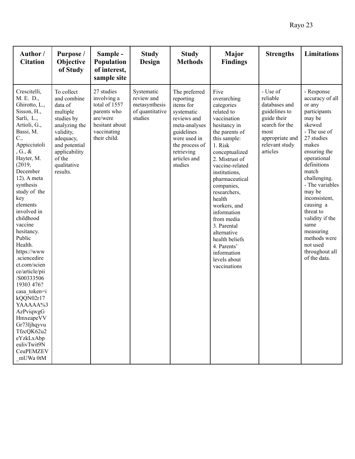| Author/<br><b>Citation</b>                                                                                                                                                                                                                                                                                                                                                                                                                                                                                                                                                                 | Purpose /<br>Objective<br>of Study                                                                                                                                               | Sample -<br>Population<br>of interest,<br>sample site                                                                  | <b>Study</b><br>Design                                                  | <b>Study</b><br><b>Methods</b>                                                                                                                                                 | <b>Major</b><br><b>Findings</b>                                                                                                                                                                                                                                                                                                                                                                                          | <b>Strengths</b>                                                                                                                                 | <b>Limitations</b>                                                                                                                                                                                                                                                                                                                                                      |
|--------------------------------------------------------------------------------------------------------------------------------------------------------------------------------------------------------------------------------------------------------------------------------------------------------------------------------------------------------------------------------------------------------------------------------------------------------------------------------------------------------------------------------------------------------------------------------------------|----------------------------------------------------------------------------------------------------------------------------------------------------------------------------------|------------------------------------------------------------------------------------------------------------------------|-------------------------------------------------------------------------|--------------------------------------------------------------------------------------------------------------------------------------------------------------------------------|--------------------------------------------------------------------------------------------------------------------------------------------------------------------------------------------------------------------------------------------------------------------------------------------------------------------------------------------------------------------------------------------------------------------------|--------------------------------------------------------------------------------------------------------------------------------------------------|-------------------------------------------------------------------------------------------------------------------------------------------------------------------------------------------------------------------------------------------------------------------------------------------------------------------------------------------------------------------------|
| Crescitelli,<br>M. E. D.,<br>Ghirotto, L.,<br>Sisson, H.,<br>Sarli, L.,<br>Artioli, G.,<br>Bassi, M.<br>$C_{\cdot}$<br>Appicciutoli<br>, G., $\&$<br>Hayter, M.<br>(2019,<br>December<br>$12$ ). A meta<br>synthesis<br>study of the<br>key<br>elements<br>involved in<br>childhood<br>vaccine<br>hesitancy.<br>Public<br>Health.<br>https://www<br>.sciencedire<br>ct.com/scien<br>ce/article/pii<br>/S00333506<br>19303 476?<br>casa token=i<br>kQQN02r17<br>YAAAAA%3<br>AzPviqwgG<br>HmxeapeVV<br>Gr73Ijhqyvu<br>TfzcQK62u2<br>eYzkLxAbp<br>eulivTwit9N<br><b>CeuPEMZEV</b><br>mUWa 0tM | To collect<br>and combine<br>data of<br>multiple<br>studies by<br>analyzing the<br>validity,<br>adequacy,<br>and potential<br>applicability<br>of the<br>qualitative<br>results. | 27 studies<br>involving a<br>total of 1557<br>parents who<br>are/were<br>hesitant about<br>vaccinating<br>their child. | Systematic<br>review and<br>metasynthesis<br>of quantitative<br>studies | The preferred<br>reporting<br>items for<br>systematic<br>reviews and<br>meta-analyses<br>guidelines<br>were used in<br>the process of<br>retrieving<br>articles and<br>studies | Five<br>overarching<br>categories<br>related to<br>vaccination<br>hesitancy in<br>the parents of<br>this sample:<br>1. Risk<br>conceptualized<br>2. Mistrust of<br>vaccine-related<br>institutions,<br>pharmaceutical<br>companies,<br>researchers,<br>health<br>workers, and<br>information<br>from media<br>3. Parental<br>alternative<br>health beliefs<br>4. Parents'<br>information<br>levels about<br>vaccinations | - Use of<br>reliable<br>databases and<br>guidelines to<br>guide their<br>search for the<br>most<br>appropriate and<br>relevant study<br>articles | - Response<br>accuracy of all<br>or any<br>participants<br>may be<br>skewed<br>- The use of<br>27 studies<br>makes<br>ensuring the<br>operational<br>definitions<br>match<br>challenging.<br>- The variables<br>may be<br>inconsistent,<br>causing a<br>threat to<br>validity if the<br>same<br>measuring<br>methods were<br>not used<br>throughout all<br>of the data. |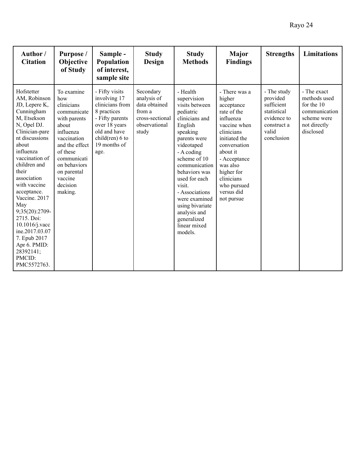| Author/<br><b>Citation</b>                                                                                                                                                                                                                                                                                                                                                                                      | Purpose /<br>Objective<br>of Study                                                                                                                                                                                | Sample -<br>Population<br>of interest,<br>sample site                                                                                                              | <b>Study</b><br><b>Design</b>                                                                    | <b>Study</b><br><b>Methods</b>                                                                                                                                                                                                                                                                                                           | <b>Major</b><br><b>Findings</b>                                                                                                                                                                                                                 | <b>Strengths</b>                                                                                          | <b>Limitations</b>                                                                                     |
|-----------------------------------------------------------------------------------------------------------------------------------------------------------------------------------------------------------------------------------------------------------------------------------------------------------------------------------------------------------------------------------------------------------------|-------------------------------------------------------------------------------------------------------------------------------------------------------------------------------------------------------------------|--------------------------------------------------------------------------------------------------------------------------------------------------------------------|--------------------------------------------------------------------------------------------------|------------------------------------------------------------------------------------------------------------------------------------------------------------------------------------------------------------------------------------------------------------------------------------------------------------------------------------------|-------------------------------------------------------------------------------------------------------------------------------------------------------------------------------------------------------------------------------------------------|-----------------------------------------------------------------------------------------------------------|--------------------------------------------------------------------------------------------------------|
| Hofstetter<br>AM, Robinson<br>JD, Lepere K,<br>Cunningham<br>M, Etsekson<br>N, Opel DJ.<br>Clinician-pare<br>nt discussions<br>about<br>influenza<br>vaccination of<br>children and<br>their<br>association<br>with vaccine<br>acceptance.<br>Vaccine. 2017<br>May<br>9;35(20):2709-<br>2715. Doi:<br>$10.1016$ /j.vacc<br>ine.2017.03.07<br>7. Epub 2017<br>Apr 6. PMID:<br>28392141;<br>PMCID:<br>PMC5572763. | To examine<br>how<br>clinicians<br>communicate<br>with parents<br>about<br>influenza<br>vaccination<br>and the effect<br>of these<br>communicati<br>on behaviors<br>on parental<br>vaccine<br>decision<br>making. | - Fifty visits<br>involving 17<br>clinicians from<br>8 practices<br>- Fifty parents<br>over 18 years<br>old and have<br>child $(ren)$ 6 to<br>19 months of<br>age. | Secondary<br>analysis of<br>data obtained<br>from a<br>cross-sectional<br>observational<br>study | - Health<br>supervision<br>visits between<br>pediatric<br>clinicians and<br>English<br>speaking<br>parents were<br>videotaped<br>- A coding<br>scheme of 10<br>communication<br>behaviors was<br>used for each<br>visit.<br>- Associations<br>were examined<br>using bivariate<br>analysis and<br>generalized<br>linear mixed<br>models. | - There was a<br>higher<br>acceptance<br>rate of the<br>influenza<br>vaccine when<br>clinicians<br>initiated the<br>conversation<br>about it<br>- Acceptance<br>was also<br>higher for<br>clinicians<br>who pursued<br>versus did<br>not pursue | - The study<br>provided<br>sufficient<br>statistical<br>evidence to<br>construct a<br>valid<br>conclusion | - The exact<br>methods used<br>for the 10<br>communication<br>scheme were<br>not directly<br>disclosed |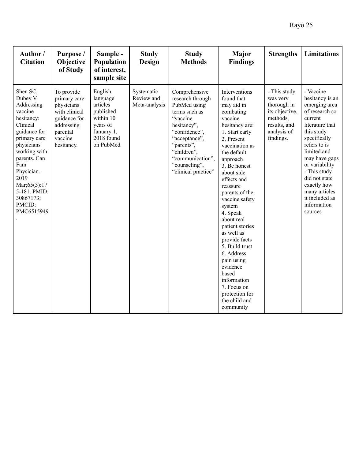| Author/<br><b>Citation</b>                                                                                                                                                                                                                                | Purpose /<br>Objective<br>of Study                                                                                           | Sample -<br>Population<br>of interest,<br>sample site                                                          | <b>Study</b><br>Design                    | <b>Study</b><br><b>Methods</b>                                                                                                                                                                                           | Major<br><b>Findings</b>                                                                                                                                                                                                                                                                                                                                                                                                                                                                             | <b>Strengths</b>                                                                                                  | <b>Limitations</b>                                                                                                                                                                                                                                                                                         |
|-----------------------------------------------------------------------------------------------------------------------------------------------------------------------------------------------------------------------------------------------------------|------------------------------------------------------------------------------------------------------------------------------|----------------------------------------------------------------------------------------------------------------|-------------------------------------------|--------------------------------------------------------------------------------------------------------------------------------------------------------------------------------------------------------------------------|------------------------------------------------------------------------------------------------------------------------------------------------------------------------------------------------------------------------------------------------------------------------------------------------------------------------------------------------------------------------------------------------------------------------------------------------------------------------------------------------------|-------------------------------------------------------------------------------------------------------------------|------------------------------------------------------------------------------------------------------------------------------------------------------------------------------------------------------------------------------------------------------------------------------------------------------------|
| Shen SC,<br>Dubey V.<br>Addressing<br>vaccine<br>hesitancy:<br>Clinical<br>guidance for<br>primary care<br>physicians<br>working with<br>parents. Can<br>Fam<br>Physician.<br>2019<br>Mar; 65(3): 17<br>5-181. PMID:<br>30867173;<br>PMCID:<br>PMC6515949 | To provide<br>primary care<br>physicians<br>with clinical<br>guidance for<br>addressing<br>parental<br>vaccine<br>hesitancy. | English<br>language<br>articles<br>published<br>within 10<br>years of<br>January 1,<br>2018 found<br>on PubMed | Systematic<br>Review and<br>Meta-analysis | Comprehensive<br>research through<br>PubMed using<br>terms such as<br>"vaccine<br>hesitancy",<br>"confidence",<br>"acceptance",<br>"parents",<br>"children",<br>"communication",<br>"counseling",<br>"clinical practice" | Interventions<br>found that<br>may aid in<br>combating<br>vaccine<br>hesitancy are:<br>1. Start early<br>2. Present<br>vaccination as<br>the default<br>approach<br>3. Be honest<br>about side<br>effects and<br>reassure<br>parents of the<br>vaccine safety<br>system<br>4. Speak<br>about real<br>patient stories<br>as well as<br>provide facts<br>5. Build trust<br>6. Address<br>pain using<br>evidence<br>based<br>information<br>7. Focus on<br>protection for<br>the child and<br>community | - This study<br>was very<br>thorough in<br>its objective,<br>methods.<br>results, and<br>analysis of<br>findings. | - Vaccine<br>hesitancy is an<br>emerging area<br>of research so<br>current<br>literature that<br>this study<br>specifically<br>refers to is<br>limited and<br>may have gaps<br>or variability<br>- This study<br>did not state<br>exactly how<br>many articles<br>it included as<br>information<br>sources |